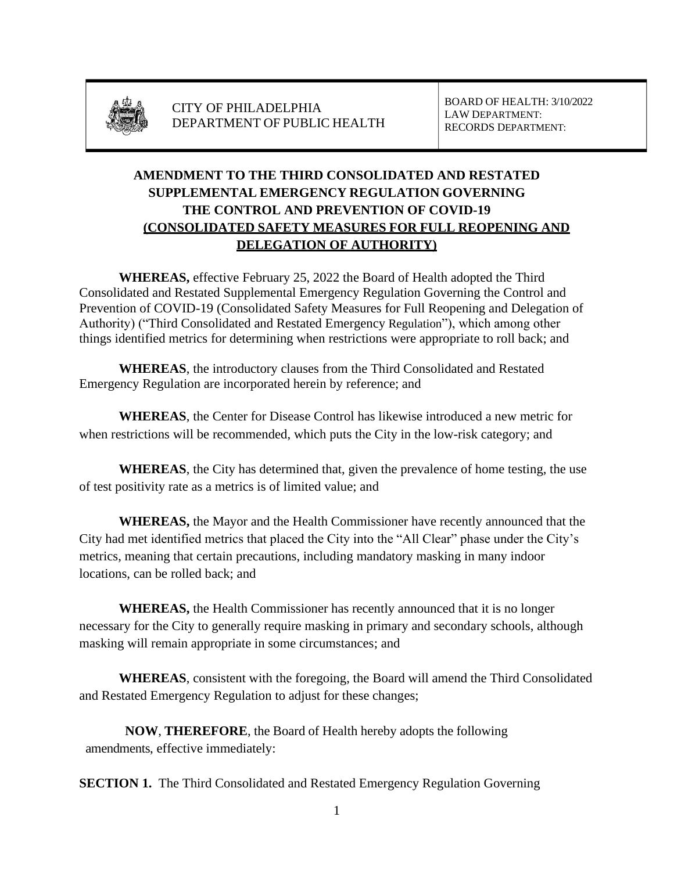

BOARD OF HEALTH: 3/10/2022 LAW DEPARTMENT: RECORDS DEPARTMENT:

# **AMENDMENT TO THE THIRD CONSOLIDATED AND RESTATED SUPPLEMENTAL EMERGENCY REGULATION GOVERNING THE CONTROL AND PREVENTION OF COVID-19 (CONSOLIDATED SAFETY MEASURES FOR FULL REOPENING AND DELEGATION OF AUTHORITY)**

**WHEREAS,** effective February 25, 2022 the Board of Health adopted the Third Consolidated and Restated Supplemental Emergency Regulation Governing the Control and Prevention of COVID-19 (Consolidated Safety Measures for Full Reopening and Delegation of Authority) ("Third Consolidated and Restated Emergency Regulation"), which among other things identified metrics for determining when restrictions were appropriate to roll back; and

**WHEREAS**, the introductory clauses from the Third Consolidated and Restated Emergency Regulation are incorporated herein by reference; and

**WHEREAS**, the Center for Disease Control has likewise introduced a new metric for when restrictions will be recommended, which puts the City in the low-risk category; and

**WHEREAS**, the City has determined that, given the prevalence of home testing, the use of test positivity rate as a metrics is of limited value; and

**WHEREAS,** the Mayor and the Health Commissioner have recently announced that the City had met identified metrics that placed the City into the "All Clear" phase under the City's metrics, meaning that certain precautions, including mandatory masking in many indoor locations, can be rolled back; and

**WHEREAS,** the Health Commissioner has recently announced that it is no longer necessary for the City to generally require masking in primary and secondary schools, although masking will remain appropriate in some circumstances; and

**WHEREAS**, consistent with the foregoing, the Board will amend the Third Consolidated and Restated Emergency Regulation to adjust for these changes;

**NOW**, **THEREFORE**, the Board of Health hereby adopts the following amendments, effective immediately:

**SECTION 1.** The Third Consolidated and Restated Emergency Regulation Governing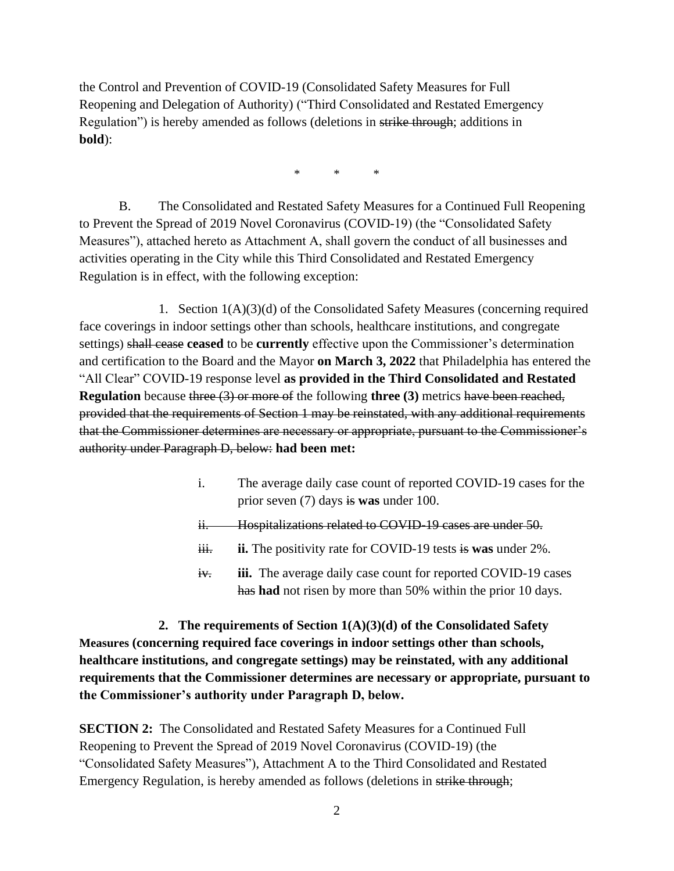the Control and Prevention of COVID-19 (Consolidated Safety Measures for Full Reopening and Delegation of Authority) ("Third Consolidated and Restated Emergency Regulation") is hereby amended as follows (deletions in strike through; additions in **bold**):

\* \* \*

B. The Consolidated and Restated Safety Measures for a Continued Full Reopening to Prevent the Spread of 2019 Novel Coronavirus (COVID-19) (the "Consolidated Safety Measures"), attached hereto as Attachment A, shall govern the conduct of all businesses and activities operating in the City while this Third Consolidated and Restated Emergency Regulation is in effect, with the following exception:

1. Section  $1(A)(3)(d)$  of the Consolidated Safety Measures (concerning required face coverings in indoor settings other than schools, healthcare institutions, and congregate settings) shall cease **ceased** to be **currently** effective upon the Commissioner's determination and certification to the Board and the Mayor **on March 3, 2022** that Philadelphia has entered the "All Clear" COVID-19 response level **as provided in the Third Consolidated and Restated Regulation** because three (3) or more of the following **three** (3) metrics have been reached, provided that the requirements of Section 1 may be reinstated, with any additional requirements that the Commissioner determines are necessary or appropriate, pursuant to the Commissioner's authority under Paragraph D, below: **had been met:** 

- i. The average daily case count of reported COVID-19 cases for the prior seven (7) days is **was** under 100.
- ii. Hospitalizations related to COVID-19 cases are under 50.
- ii. **ii.** The positivity rate for COVID-19 tests is **was** under 2%.
- iv. **iii.** The average daily case count for reported COVID-19 cases has **had** not risen by more than 50% within the prior 10 days.

**2. The requirements of Section 1(A)(3)(d) of the Consolidated Safety Measures (concerning required face coverings in indoor settings other than schools, healthcare institutions, and congregate settings) may be reinstated, with any additional requirements that the Commissioner determines are necessary or appropriate, pursuant to the Commissioner's authority under Paragraph D, below.**

**SECTION 2:** The Consolidated and Restated Safety Measures for a Continued Full Reopening to Prevent the Spread of 2019 Novel Coronavirus (COVID-19) (the "Consolidated Safety Measures"), Attachment A to the Third Consolidated and Restated Emergency Regulation, is hereby amended as follows (deletions in strike through;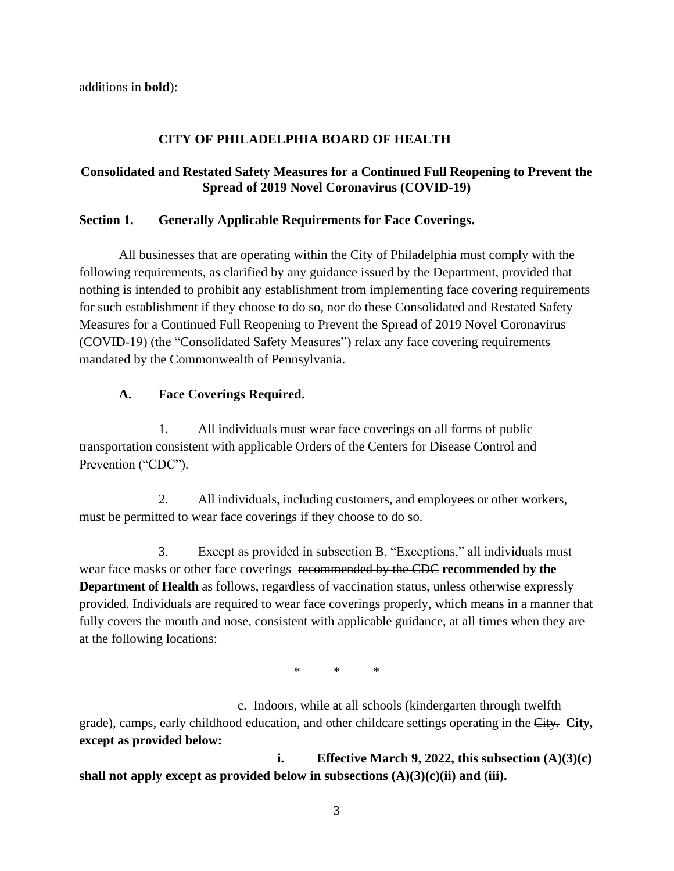additions in **bold**):

## **CITY OF PHILADELPHIA BOARD OF HEALTH**

### **Consolidated and Restated Safety Measures for a Continued Full Reopening to Prevent the Spread of 2019 Novel Coronavirus (COVID-19)**

#### **Section 1. Generally Applicable Requirements for Face Coverings.**

All businesses that are operating within the City of Philadelphia must comply with the following requirements, as clarified by any guidance issued by the Department, provided that nothing is intended to prohibit any establishment from implementing face covering requirements for such establishment if they choose to do so, nor do these Consolidated and Restated Safety Measures for a Continued Full Reopening to Prevent the Spread of 2019 Novel Coronavirus (COVID-19) (the "Consolidated Safety Measures") relax any face covering requirements mandated by the Commonwealth of Pennsylvania.

### **A. Face Coverings Required.**

1. All individuals must wear face coverings on all forms of public transportation consistent with applicable Orders of the Centers for Disease Control and Prevention ("CDC").

2. All individuals, including customers, and employees or other workers, must be permitted to wear face coverings if they choose to do so.

3. Except as provided in subsection B, "Exceptions," all individuals must wear face masks or other face coverings recommended by the CDC **recommended by the Department of Health** as follows, regardless of vaccination status, unless otherwise expressly provided. Individuals are required to wear face coverings properly, which means in a manner that fully covers the mouth and nose, consistent with applicable guidance, at all times when they are at the following locations:

\* \* \*

c. Indoors, while at all schools (kindergarten through twelfth grade), camps, early childhood education, and other childcare settings operating in the City. **City, except as provided below:**

**i. Effective March 9, 2022, this subsection (A)(3)(c) shall not apply except as provided below in subsections (A)(3)(c)(ii) and (iii).**